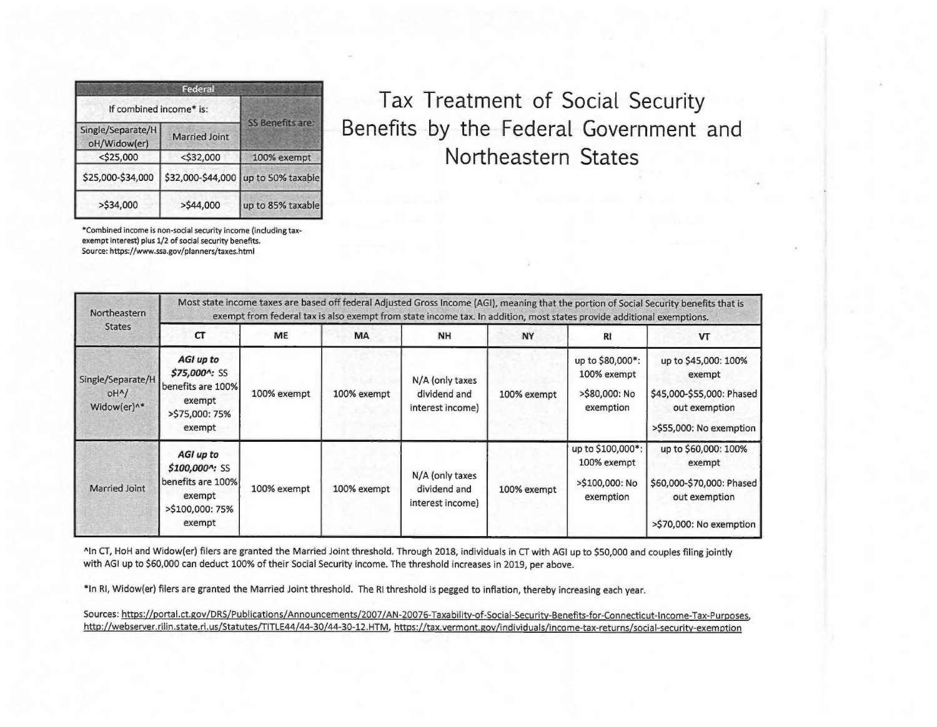| Federal                           |               |                                     |  |  |  |  |  |
|-----------------------------------|---------------|-------------------------------------|--|--|--|--|--|
| If combined income* is:           |               |                                     |  |  |  |  |  |
| Single/Separate/H<br>oH/Widow(er) | Married Joint | SS Benefits are:                    |  |  |  |  |  |
| $<$ \$25,000                      | $<$ \$32,000  | 100% exempt                         |  |  |  |  |  |
| \$25,000-\$34,000                 |               | \$32,000-\$44,000 up to 50% taxable |  |  |  |  |  |
| $>$ \$34,000                      | $>$ \$44,000  | up to 85% taxable                   |  |  |  |  |  |

Tax Treatment of Social Security Benefits by the Federal Government and Northeastern States

"Combined income is non-social security income (including taxexempt interest) plus 1/2 of social security benefits. Source: https://www.ssa.goy/planners/taxes.html

| Northeastern<br><b>States</b>                                     | Most state income taxes are based off federal Adjusted Gross Income (AGI), meaning that the portion of Social Security benefits that is<br>exempt from federal tax is also exempt from state income tax. In addition, most states provide additional exemptions. |             |             |                                                     |             |                                                                 |                                                                                                         |  |
|-------------------------------------------------------------------|------------------------------------------------------------------------------------------------------------------------------------------------------------------------------------------------------------------------------------------------------------------|-------------|-------------|-----------------------------------------------------|-------------|-----------------------------------------------------------------|---------------------------------------------------------------------------------------------------------|--|
|                                                                   | CT                                                                                                                                                                                                                                                               | ME          | <b>MA</b>   | NH                                                  | <b>NY</b>   | <b>RI</b>                                                       | VT                                                                                                      |  |
| Single/Separate/H<br>OH <sup>A</sup> /<br>Widow(er) <sup>^*</sup> | AGI up to<br>\$75,000^: SS<br>benefits are 100%<br>exempt<br>>\$75,000:75%<br>exempt                                                                                                                                                                             | 100% exempt | 100% exempt | N/A (only taxes<br>dividend and<br>interest income) | 100% exempt | up to \$80,000*:<br>100% exempt<br>>\$80,000: No<br>exemption   | up to \$45,000: 100%<br>exempt<br>\$45,000-\$55,000: Phased<br>out exemption<br>>\$55,000: No exemption |  |
| Married Joint                                                     | AGI up to<br>\$100,000^: SS<br>benefits are 100%<br>exempt<br>>\$100,000:75%<br>exempt                                                                                                                                                                           | 100% exempt | 100% exempt | N/A (only taxes<br>dividend and<br>interest income) | 100% exempt | up to \$100,000*:<br>100% exempt<br>>\$100,000: No<br>exemption | up to \$60,000: 100%<br>exempt<br>\$60,000-\$70,000: Phased<br>out exemption<br>>\$70,000: No exemption |  |

AIn CT, HoH and Widow(er) filers are granted the Married Joint threshold. Through 2018, individuals in CT with AGI up to \$50,000 and couples filing jointly with AGI up to \$60,000 can deduct 100% of their Social Security income. The threshold increases in 2019, per above.

\*In RI, Widow(er) filers are granted the Married Joint threshold. The RI threshold is pegged to inflation, thereby increasing each year.

Sources: https://portal.ct.gov/DRS/Publications/Announcements/2007/AN-20076-Taxability-of-Social-Security-Benefits-for-Connecticut-Income-Tax-Purposes, http://webserver.rilin.state.ri.us/Statutes/TITLE44/44-30/44-30-12.HTM, https://tax.vermont.eov/individuals/income-tax-returns/social-securitv-exemption